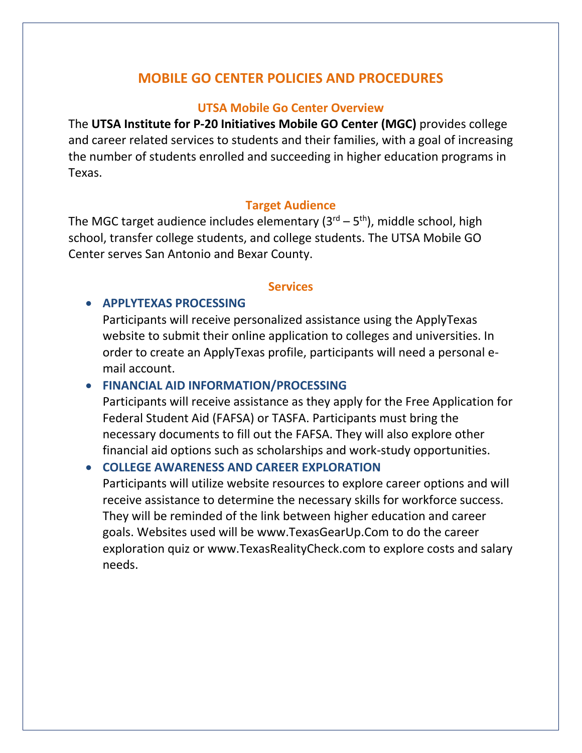# **MOBILE GO CENTER POLICIES AND PROCEDURES**

#### **UTSA Mobile Go Center Overview**

The **UTSA Institute for P-20 Initiatives Mobile GO Center (MGC)** provides college and career related services to students and their families, with a goal of increasing the number of students enrolled and succeeding in higher education programs in Texas.

#### **Target Audience**

The MGC target audience includes elementary ( $3<sup>rd</sup> - 5<sup>th</sup>$ ), middle school, high school, transfer college students, and college students. The UTSA Mobile GO Center serves San Antonio and Bexar County.

#### **Services**

#### **APPLYTEXAS PROCESSING**

Participants will receive personalized assistance using the ApplyTexas website to submit their online application to colleges and universities. In order to create an ApplyTexas profile, participants will need a personal email account.

#### **FINANCIAL AID INFORMATION/PROCESSING**

Participants will receive assistance as they apply for the Free Application for Federal Student Aid (FAFSA) or TASFA. Participants must bring the necessary documents to fill out the FAFSA. They will also explore other financial aid options such as scholarships and work-study opportunities.

### **COLLEGE AWARENESS AND CAREER EXPLORATION**

Participants will utilize website resources to explore career options and will receive assistance to determine the necessary skills for workforce success. They will be reminded of the link between higher education and career goals. Websites used will be www.TexasGearUp.Com to do the career exploration quiz or www.TexasRealityCheck.com to explore costs and salary needs.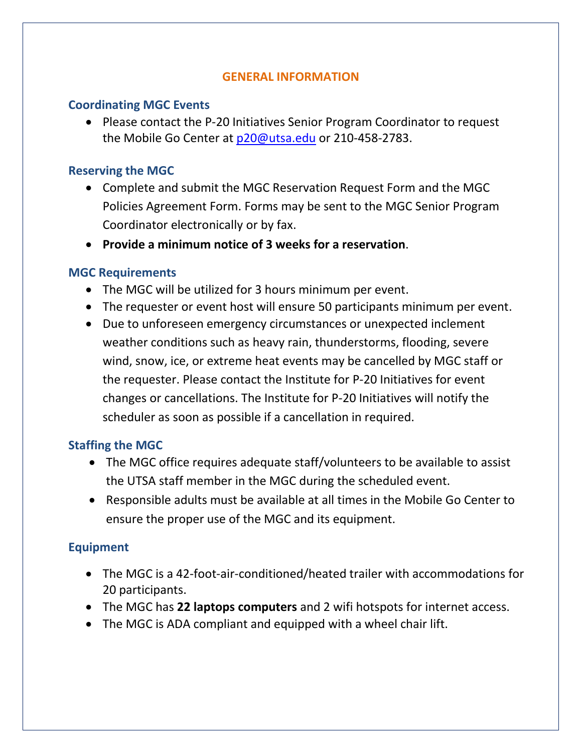#### **GENERAL INFORMATION**

### **Coordinating MGC Events**

• Please contact the P-20 Initiatives Senior Program Coordinator to request the Mobile Go Center at [p20@utsa.edu](mailto:p20@utsa.edu) or 210-458-2783.

### **Reserving the MGC**

- Complete and submit the MGC Reservation Request Form and the MGC Policies Agreement Form. Forms may be sent to the MGC Senior Program Coordinator electronically or by fax.
- **Provide a minimum notice of 3 weeks for a reservation**.

### **MGC Requirements**

- The MGC will be utilized for 3 hours minimum per event.
- The requester or event host will ensure 50 participants minimum per event.
- Due to unforeseen emergency circumstances or unexpected inclement weather conditions such as heavy rain, thunderstorms, flooding, severe wind, snow, ice, or extreme heat events may be cancelled by MGC staff or the requester. Please contact the Institute for P-20 Initiatives for event changes or cancellations. The Institute for P-20 Initiatives will notify the scheduler as soon as possible if a cancellation in required.

## **Staffing the MGC**

- The MGC office requires adequate staff/volunteers to be available to assist the UTSA staff member in the MGC during the scheduled event.
- Responsible adults must be available at all times in the Mobile Go Center to ensure the proper use of the MGC and its equipment.

## **Equipment**

- The MGC is a 42-foot-air-conditioned/heated trailer with accommodations for 20 participants.
- The MGC has **22 laptops computers** and 2 wifi hotspots for internet access.
- The MGC is ADA compliant and equipped with a wheel chair lift.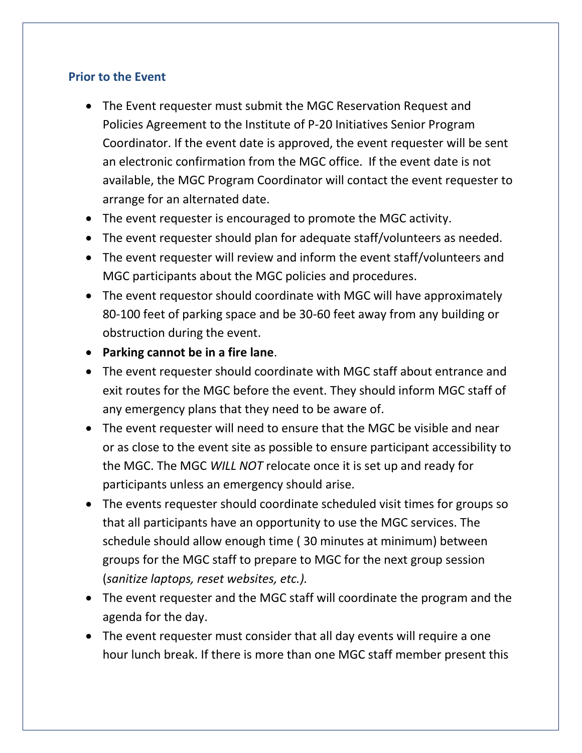## **Prior to the Event**

- The Event requester must submit the MGC Reservation Request and Policies Agreement to the Institute of P-20 Initiatives Senior Program Coordinator. If the event date is approved, the event requester will be sent an electronic confirmation from the MGC office. If the event date is not available, the MGC Program Coordinator will contact the event requester to arrange for an alternated date.
- The event requester is encouraged to promote the MGC activity.
- The event requester should plan for adequate staff/volunteers as needed.
- The event requester will review and inform the event staff/volunteers and MGC participants about the MGC policies and procedures.
- The event requestor should coordinate with MGC will have approximately 80-100 feet of parking space and be 30-60 feet away from any building or obstruction during the event.
- **Parking cannot be in a fire lane**.
- The event requester should coordinate with MGC staff about entrance and exit routes for the MGC before the event. They should inform MGC staff of any emergency plans that they need to be aware of.
- The event requester will need to ensure that the MGC be visible and near or as close to the event site as possible to ensure participant accessibility to the MGC. The MGC *WILL NOT* relocate once it is set up and ready for participants unless an emergency should arise.
- The events requester should coordinate scheduled visit times for groups so that all participants have an opportunity to use the MGC services. The schedule should allow enough time ( 30 minutes at minimum) between groups for the MGC staff to prepare to MGC for the next group session (*sanitize laptops, reset websites, etc.).*
- The event requester and the MGC staff will coordinate the program and the agenda for the day.
- The event requester must consider that all day events will require a one hour lunch break. If there is more than one MGC staff member present this